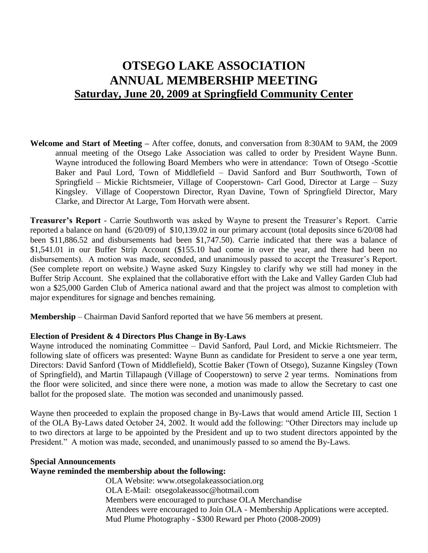# **OTSEGO LAKE ASSOCIATION ANNUAL MEMBERSHIP MEETING Saturday, June 20, 2009 at Springfield Community Center**

**Welcome and Start of Meeting –** After coffee, donuts, and conversation from 8:30AM to 9AM, the 2009 annual meeting of the Otsego Lake Association was called to order by President Wayne Bunn. Wayne introduced the following Board Members who were in attendance: Town of Otsego -Scottie Baker and Paul Lord, Town of Middlefield – David Sanford and Burr Southworth, Town of Springfield – Mickie Richtsmeier, Village of Cooperstown- Carl Good, Director at Large – Suzy Kingsley. Village of Cooperstown Director, Ryan Davine, Town of Springfield Director, Mary Clarke, and Director At Large, Tom Horvath were absent.

**Treasurer's Report** - Carrie Southworth was asked by Wayne to present the Treasurer's Report. Carrie reported a balance on hand (6/20/09) of \$10,139.02 in our primary account (total deposits since 6/20/08 had been \$11,886.52 and disbursements had been \$1,747.50). Carrie indicated that there was a balance of \$1,541.01 in our Buffer Strip Account (\$155.10 had come in over the year, and there had been no disbursements). A motion was made, seconded, and unanimously passed to accept the Treasurer's Report. (See complete report on website.) Wayne asked Suzy Kingsley to clarify why we still had money in the Buffer Strip Account. She explained that the collaborative effort with the Lake and Valley Garden Club had won a \$25,000 Garden Club of America national award and that the project was almost to completion with major expenditures for signage and benches remaining.

**Membership** – Chairman David Sanford reported that we have 56 members at present.

## **Election of President & 4 Directors Plus Change in By-Laws**

Wayne introduced the nominating Committee – David Sanford, Paul Lord, and Mickie Richtsmeierr. The following slate of officers was presented: Wayne Bunn as candidate for President to serve a one year term, Directors: David Sanford (Town of Middlefield), Scottie Baker (Town of Otsego), Suzanne Kingsley (Town of Springfield), and Martin Tillapaugh (Village of Cooperstown) to serve 2 year terms. Nominations from the floor were solicited, and since there were none, a motion was made to allow the Secretary to cast one ballot for the proposed slate. The motion was seconded and unanimously passed.

Wayne then proceeded to explain the proposed change in By-Laws that would amend Article III, Section 1 of the OLA By-Laws dated October 24, 2002. It would add the following: "Other Directors may include up to two directors at large to be appointed by the President and up to two student directors appointed by the President." A motion was made, seconded, and unanimously passed to so amend the By-Laws.

## **Special Announcements**

## **Wayne reminded the membership about the following:**

OLA Website: [www.otsegolakeassociation.org](http://www.otsegolakeassociation.org/) OLA E-Mail: otsegolakeassoc@hotmail.com Members were encouraged to purchase OLA Merchandise Attendees were encouraged to Join OLA - Membership Applications were accepted. Mud Plume Photography - \$300 Reward per Photo (2008-2009)